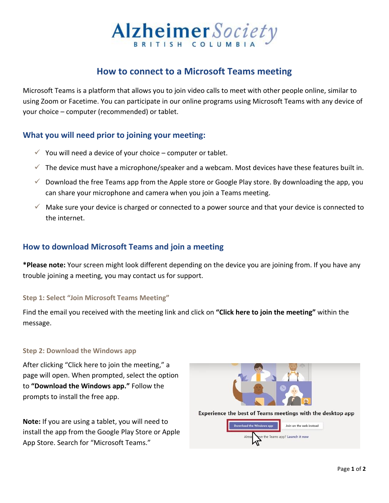# Alzheimer Society

# **How to connect to a Microsoft Teams meeting**

Microsoft Teams is a platform that allows you to join video calls to meet with other people online, similar to using Zoom or Facetime. You can participate in our online programs using Microsoft Teams with any device of your choice – computer (recommended) or tablet.

# **What you will need prior to joining your meeting:**

- $\checkmark$  You will need a device of your choice computer or tablet.
- $\checkmark$  The device must have a microphone/speaker and a webcam. Most devices have these features built in.
- $\checkmark$  Download the free Teams app from the Apple store or Google Play store. By downloading the app, you can share your microphone and camera when you join a Teams meeting.
- $\checkmark$  Make sure your device is charged or connected to a power source and that your device is connected to the internet.

## **How to download Microsoft Teams and join a meeting**

**\*Please note:** Your screen might look different depending on the device you are joining from. If you have any trouble joining a meeting, you may contact us for support.

## **Step 1: Select "Join Microsoft Teams Meeting"**

Find the email you received with the meeting link and click on **"Click here to join the meeting"** within the message.

## **Step 2: Download the Windows app**

After clicking "Click here to join the meeting," a page will open. When prompted, select the option to **"Download the Windows app."** Follow the prompts to install the free app.

**Note:** If you are using a tablet, you will need to install the app from the Google Play Store or Apple App Store. Search for "Microsoft Teams."



Experience the best of Teams meetings with the desktop app